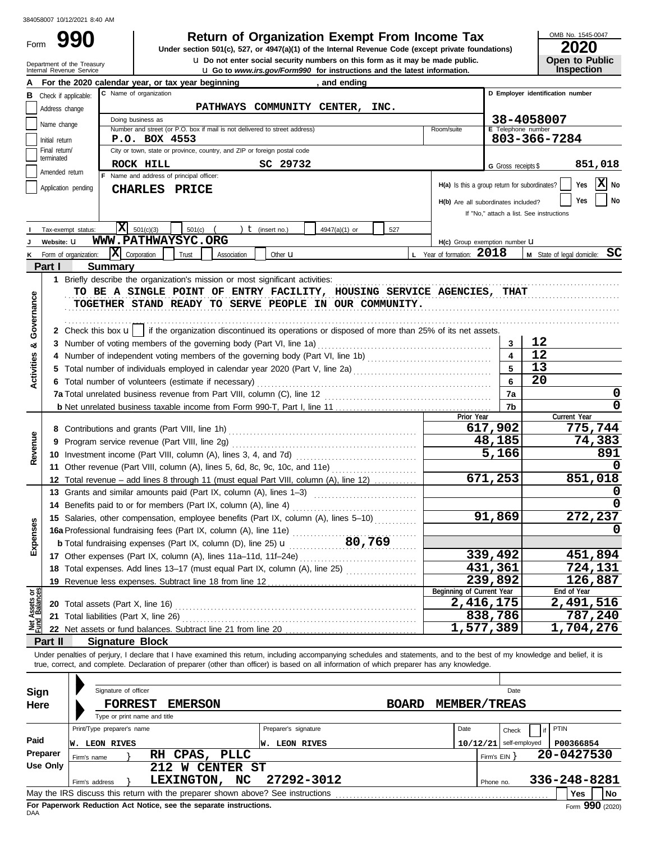Form

## **990 a Return of Organization Exempt From Income Tax 2020 2020 2020**

u **Do not enter social security numbers on this form as it may be made public. Open to Public Under section 501(c), 527, or 4947(a)(1) of the Internal Revenue Code (except private foundations)**

OMB No. 1545-0047

|                                                                                                                                                                            | Department of the Treasury<br>Internal Revenue Service | <b>U</b> Do not enter social security numbers on this form as it may be made public.<br><b>u</b> Go to www.irs.gov/Form990 for instructions and the latest information. |                                                  | Open to Public<br>Inspection  |  |  |  |  |  |
|----------------------------------------------------------------------------------------------------------------------------------------------------------------------------|--------------------------------------------------------|-------------------------------------------------------------------------------------------------------------------------------------------------------------------------|--------------------------------------------------|-------------------------------|--|--|--|--|--|
| For the 2020 calendar year, or tax year beginning<br>, and ending                                                                                                          |                                                        |                                                                                                                                                                         |                                                  |                               |  |  |  |  |  |
| В                                                                                                                                                                          | Check if applicable:                                   | D Employer identification number                                                                                                                                        |                                                  |                               |  |  |  |  |  |
|                                                                                                                                                                            | Address change                                         | PATHWAYS COMMUNITY CENTER, INC.                                                                                                                                         |                                                  |                               |  |  |  |  |  |
|                                                                                                                                                                            |                                                        | Doing business as                                                                                                                                                       | 38-4058007                                       |                               |  |  |  |  |  |
|                                                                                                                                                                            | Name change                                            | Number and street (or P.O. box if mail is not delivered to street address)<br>Room/suite                                                                                | E Telephone number                               |                               |  |  |  |  |  |
|                                                                                                                                                                            | Initial return                                         | P.O. BOX 4553                                                                                                                                                           |                                                  | 803-366-7284                  |  |  |  |  |  |
|                                                                                                                                                                            | Final return/<br>terminated                            | City or town, state or province, country, and ZIP or foreign postal code                                                                                                |                                                  |                               |  |  |  |  |  |
|                                                                                                                                                                            | Amended return                                         | SC 29732<br>ROCK HILL                                                                                                                                                   | G Gross receipts \$                              | 851,018                       |  |  |  |  |  |
|                                                                                                                                                                            |                                                        | F Name and address of principal officer:<br>H(a) Is this a group return for subordinates?                                                                               |                                                  | X No<br>Yes                   |  |  |  |  |  |
|                                                                                                                                                                            | Application pending                                    | <b>CHARLES PRICE</b>                                                                                                                                                    |                                                  |                               |  |  |  |  |  |
|                                                                                                                                                                            |                                                        |                                                                                                                                                                         | No<br>Yes<br>H(b) Are all subordinates included? |                               |  |  |  |  |  |
|                                                                                                                                                                            |                                                        |                                                                                                                                                                         | If "No," attach a list. See instructions         |                               |  |  |  |  |  |
|                                                                                                                                                                            | Tax-exempt status:                                     | x <br>501(c)(3)<br>501(c)<br>) $t$ (insert no.)<br>$4947(a)(1)$ or<br>527                                                                                               |                                                  |                               |  |  |  |  |  |
|                                                                                                                                                                            | Website: U                                             | WWW.PATHWAYSYC.ORG<br>H(c) Group exemption number LI                                                                                                                    |                                                  |                               |  |  |  |  |  |
|                                                                                                                                                                            | K Form of organization:                                | $ \mathbf{X} $ Corporation<br>L Year of formation: 2018<br>Trust<br>Association<br>Other $\mathbf u$                                                                    |                                                  | M State of legal domicile: SC |  |  |  |  |  |
|                                                                                                                                                                            | Part I                                                 | Summary                                                                                                                                                                 |                                                  |                               |  |  |  |  |  |
|                                                                                                                                                                            |                                                        | 1 Briefly describe the organization's mission or most significant activities:                                                                                           |                                                  |                               |  |  |  |  |  |
|                                                                                                                                                                            |                                                        | TO BE A SINGLE POINT OF ENTRY FACILITY, HOUSING SERVICE AGENCIES, THAT                                                                                                  |                                                  |                               |  |  |  |  |  |
|                                                                                                                                                                            |                                                        | TOGETHER STAND READY TO SERVE PEOPLE IN OUR COMMUNITY.                                                                                                                  |                                                  |                               |  |  |  |  |  |
| Governance                                                                                                                                                                 |                                                        |                                                                                                                                                                         |                                                  |                               |  |  |  |  |  |
|                                                                                                                                                                            |                                                        | 2 Check this box $\mathbf{u}$   if the organization discontinued its operations or disposed of more than 25% of its net assets.                                         |                                                  |                               |  |  |  |  |  |
| ೲ                                                                                                                                                                          |                                                        |                                                                                                                                                                         | 3                                                | 12                            |  |  |  |  |  |
|                                                                                                                                                                            |                                                        | 4 Number of independent voting members of the governing body (Part VI, line 1b) [11] [11] Number of independent voting members of the governing body (Part VI, line 1b) |                                                  | 12                            |  |  |  |  |  |
| <b>Activities</b>                                                                                                                                                          |                                                        |                                                                                                                                                                         |                                                  | 13                            |  |  |  |  |  |
|                                                                                                                                                                            |                                                        | 6 Total number of volunteers (estimate if necessary)                                                                                                                    | 6                                                | 20                            |  |  |  |  |  |
|                                                                                                                                                                            |                                                        |                                                                                                                                                                         | 7a                                               | 0                             |  |  |  |  |  |
|                                                                                                                                                                            |                                                        |                                                                                                                                                                         | 7b                                               | Ω                             |  |  |  |  |  |
|                                                                                                                                                                            |                                                        | Prior Year                                                                                                                                                              | 617,902                                          | Current Year<br>775,744       |  |  |  |  |  |
|                                                                                                                                                                            |                                                        |                                                                                                                                                                         |                                                  |                               |  |  |  |  |  |
| Revenue                                                                                                                                                                    |                                                        | 9 Program service revenue (Part VIII, line 2g)                                                                                                                          | 48,185                                           | 74,383                        |  |  |  |  |  |
|                                                                                                                                                                            |                                                        |                                                                                                                                                                         | 5,166                                            | 891                           |  |  |  |  |  |
|                                                                                                                                                                            |                                                        | 11 Other revenue (Part VIII, column (A), lines 5, 6d, 8c, 9c, 10c, and 11e)                                                                                             | $\sqrt{671,253}$                                 | 851,018                       |  |  |  |  |  |
|                                                                                                                                                                            |                                                        | 12 Total revenue - add lines 8 through 11 (must equal Part VIII, column (A), line 12)                                                                                   |                                                  | 0                             |  |  |  |  |  |
|                                                                                                                                                                            |                                                        | 13 Grants and similar amounts paid (Part IX, column (A), lines 1-3)                                                                                                     |                                                  | 0                             |  |  |  |  |  |
|                                                                                                                                                                            |                                                        | 14 Benefits paid to or for members (Part IX, column (A), line 4)                                                                                                        | 91,869                                           | 272,237                       |  |  |  |  |  |
| nses                                                                                                                                                                       |                                                        | 15 Salaries, other compensation, employee benefits (Part IX, column (A), lines 5-10)                                                                                    |                                                  | 0                             |  |  |  |  |  |
|                                                                                                                                                                            |                                                        | 16a Professional fundraising fees (Part IX, column (A), line 11e)                                                                                                       |                                                  |                               |  |  |  |  |  |
| Exper                                                                                                                                                                      |                                                        | <b>b</b> Total fundraising expenses (Part IX, column (D), line 25) $\mathbf{u}$                                                                                         | 339,492                                          | 451,894                       |  |  |  |  |  |
|                                                                                                                                                                            |                                                        | 17 Other expenses (Part IX, column (A), lines 11a-11d, 11f-24e)                                                                                                         | 431,361                                          | 724,131                       |  |  |  |  |  |
|                                                                                                                                                                            |                                                        | 18 Total expenses. Add lines 13-17 (must equal Part IX, column (A), line 25)<br>19 Revenue less expenses. Subtract line 18 from line 12                                 | 239,892                                          | 126,887                       |  |  |  |  |  |
| ් පි                                                                                                                                                                       |                                                        | Beginning of Current Year                                                                                                                                               |                                                  | End of Year                   |  |  |  |  |  |
|                                                                                                                                                                            |                                                        | 20 Total assets (Part X, line 16)                                                                                                                                       | 2,416,175                                        | 2,491,516                     |  |  |  |  |  |
|                                                                                                                                                                            |                                                        | 21 Total liabilities (Part X, line 26)                                                                                                                                  | 838,786                                          | 787,240                       |  |  |  |  |  |
| Net Assets<br>Fund Balanc                                                                                                                                                  |                                                        |                                                                                                                                                                         | 1,577,389                                        | 1,704,276                     |  |  |  |  |  |
|                                                                                                                                                                            | Part II                                                | <b>Signature Block</b>                                                                                                                                                  |                                                  |                               |  |  |  |  |  |
| Under penalties of perjury, I declare that I have examined this return, including accompanying schedules and statements, and to the best of my knowledge and belief, it is |                                                        |                                                                                                                                                                         |                                                  |                               |  |  |  |  |  |
|                                                                                                                                                                            |                                                        | true, correct, and complete. Declaration of preparer (other than officer) is based on all information of which preparer has any knowledge.                              |                                                  |                               |  |  |  |  |  |
|                                                                                                                                                                            |                                                        |                                                                                                                                                                         |                                                  |                               |  |  |  |  |  |
| Sign                                                                                                                                                                       |                                                        | Signature of officer<br>Date                                                                                                                                            |                                                  |                               |  |  |  |  |  |
|                                                                                                                                                                            | Here                                                   | <b>FORREST</b><br><b>BOARD</b><br><b>MEMBER/TREAS</b><br><b>EMERSON</b>                                                                                                 |                                                  |                               |  |  |  |  |  |
| Type or print name and title                                                                                                                                               |                                                        |                                                                                                                                                                         |                                                  |                               |  |  |  |  |  |
|                                                                                                                                                                            |                                                        | Print/Type preparer's name<br>Preparer's signature<br>Date                                                                                                              | Check                                            | PTIN<br>if                    |  |  |  |  |  |
| Paid                                                                                                                                                                       |                                                        | <b>W. LEON RIVES</b><br>10/12/21<br><b>W. LEON RIVES</b>                                                                                                                |                                                  | self-employed<br>P00366854    |  |  |  |  |  |
|                                                                                                                                                                            | Preparer<br>Firm's name                                | RH CPAS, PLLC                                                                                                                                                           | Firm's $EIN$ }                                   | 20-0427530                    |  |  |  |  |  |
| <b>Use Only</b><br>212 W CENTER ST                                                                                                                                         |                                                        |                                                                                                                                                                         |                                                  |                               |  |  |  |  |  |
| LEXINGTON, NC<br>27292-3012<br>336-248-8281<br>Firm's address<br>Phone no.                                                                                                 |                                                        |                                                                                                                                                                         |                                                  |                               |  |  |  |  |  |
| May the IRS discuss this return with the preparer shown above? See instructions<br>Yes<br>No                                                                               |                                                        |                                                                                                                                                                         |                                                  |                               |  |  |  |  |  |

| Sign<br>Here     |                                                                                    | Signature of officer<br><b>FORREST</b><br>Type or print name and title | <b>EMERSON</b>          |                                           |                                                                                               | <b>BOARD</b> | <b>MEMBER/TREAS</b> |                                   | Date                                   |                     |    |
|------------------|------------------------------------------------------------------------------------|------------------------------------------------------------------------|-------------------------|-------------------------------------------|-----------------------------------------------------------------------------------------------|--------------|---------------------|-----------------------------------|----------------------------------------|---------------------|----|
| Paid<br>Preparer | Print/Type preparer's name<br>LEON RIVES<br>lw.<br>RH CPAS,<br>PLLC<br>Firm's name |                                                                        |                         | Preparer's signature<br>LEON RIVES<br>lw. |                                                                                               | Date         | Firm's EIN Y        | Check<br>$10/12/21$ self-employed | <b>PTIN</b><br>P00366854<br>20-0427530 |                     |    |
| Use Only         | Firm's address                                                                     |                                                                        | 212.<br>w<br>LEXINGTON, | <b>CENTER ST</b><br>NC.                   | 27292-3012<br>May the IRS discuss this return with the preparer shown above? See instructions |              |                     | Phone no.                         |                                        | 336-248-8281<br>Yes | No |